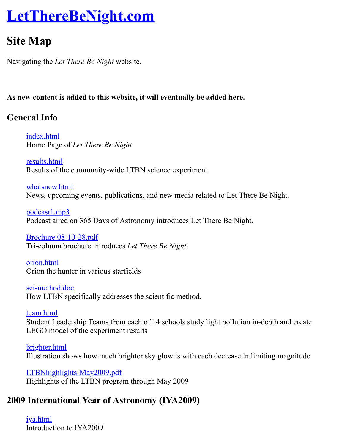Navigating the *Let There Be Night* website.

#### **As new content is added to this website, it will eventually be added here.**

## **General Info**

index.html Home Page of *Let There Be Night*

results.html Results of the community-wide LTBN science experiment

whatsnew.html [News, upco](http://www.lettherebenight.com/index.html)ming events, publications, and new media related to Let There Be Night.

podcast1.mp3 [Podcast aire](http://www.lettherebenight.com/results.html)d on 365 Days of Astronomy introduces Let There Be Night.

Brochure 08-10-28.pdf [Tri-column bro](http://www.lettherebenight.com/whatsnew.html)chure introduces *Let There Be Night*.

orion.html [Orion the hunt](http://www.lettherebenight.com/podcast1.mp3)er in various starfields

sci-method.doc [How LTBN specifically](http://www.lettherebenight.com/Brochure%2008-10-28.pdf) addresses the scientific method.

team.html [Student Le](http://www.lettherebenight.com/orion.html)adership Teams from each of 14 schools study light pollution in-depth and creatership LEGO model of the experiment results

[brighter.html](http://www.lettherebenight.com/sci-method.doc) Illustration shows how much brighter sky glow is with each decrease in limiting magni

[LTBNhigh](http://www.lettherebenight.com/team.html)lights-May2009.pdf Highlights of the LTBN program through May 2009

## **2009 [Internatio](http://www.lettherebenight.com/brighter.jpg)nal Year of Astronomy (IYA2009)**

iya.html [Introduction to IYA2009](http://www.lettherebenight.com/LTBNhighlights-May2009.pdf)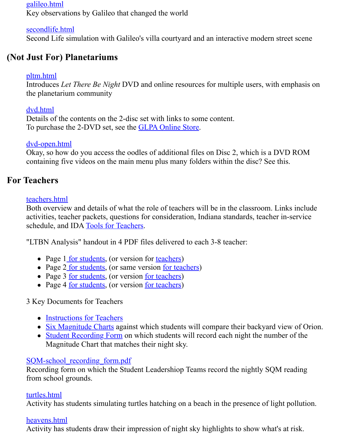# **(Not [Just For\)](http://www.lettherebenight.com/galileo.html) Planetariums**

#### pltm.html

Introduces *Let There Be Night* DVD and online resources for multiple users, with emph [the planetarium](http://www.lettherebenight.com/secondlife.html) community

### dvd.html

Details of the contents on the 2-disc set with links to some content. To purchase the 2-DVD set, see the GLPA Online Store.

### [dvd-open.](http://www.lettherebenight.com/pltm.html)html

Okay, so how do you access the oodles of additional files on Disc 2, which is a DVD R containing five videos on the main menu plus many folders within the disc? See this.

## **For Teachers**

### teachers.html

[Both overview](http://www.lettherebenight.com/dvd-open.html) and details of what the role of teachers will be in the classroom. Links in activities, teacher packets, questions for consideration, Indiana standards, teacher in-ser schedule, and IDA Tools for Teachers.

"LTBN Analysis" handout in 4 PDF files delivered to each 3-8 teacher:

- [Page 1](http://www.lettherebenight.com/teachers.html) for students, (or version for teachers)
- Page 2 for students, (or same version for teachers)
- Page 3 <u>for students</u>, (or version <u>for teachers</u>)
- Page 4 for st[udents, \(or version](http://www.darksky.org/mc/page.do?sitePageId=59509) for teachers)

## 3 Key Documents for Teachers

- Instru[ctions for Tea](http://www.lettherebenight.com/results-analysis1.pdf)chers
- Six M[agnitude Cha](http://www.lettherebenight.com/results-analysis2.pdf)rts against which [students will](http://www.lettherebenight.com/results-analysis2-answers.pdf) compare their backyard view of
- Studen[t Recording](http://www.lettherebenight.com/results-analysis3.pdf) Form on wh[ich students](http://www.lettherebenight.com/results-analysis3-answers.pdf) will record each night the number of Magnit[ude Chart th](http://www.lettherebenight.com/results-analysis4.pdf)at matches t[heir night sk](http://www.lettherebenight.com/results-analysis4-answers.pdf)y.

### SQM-school\_recording\_form.pdf

Recording form on which the Student Leadershiop Teams record the nightly SQM read from [school grounds.](http://www.lettherebenight.com/PHM-instructions.doc)

### turtles[.html](http://www.lettherebenight.com/PHM-recording.htm)

Activity has students simulating turtles hatching on a beach in the presence of light pol

#### [heavens.html](http://www.lettherebenight.com/SQM-school_recording_form.pdf)

Activity has students draw their impression of night sky highlights to show what's at ris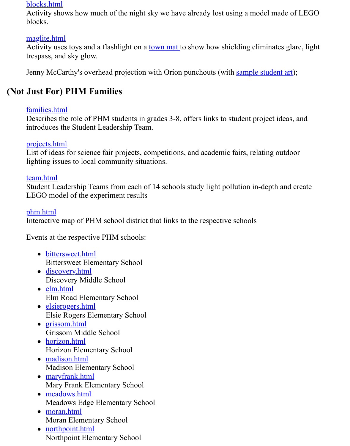[Jenny McCa](http://www.lettherebenight.com/blocks.html)rthy's overhead projection with Orion punchouts (with sample student art);

## **(Not [Just For\) P](http://www.lettherebenight.com/maglite.html)HM Families**

#### families.html

Describes the role of PHM students in grades 3-8, offers links to student project ideas, and introduces the Student Leadership Team.

#### projects.html

List of ideas for science fair projects, competitions, and academic fairs, relating outdoo lighting issues to local community situations.

#### [team.html](http://www.lettherebenight.com/families.html)

Student Leadership Teams from each of 14 schools study light pollution in-depth and creatership LEGO model of the experiment results

#### [phm.html](http://www.lettherebenight.com/projects.html)

Interactive map of PHM school district that links to the respective schools

[Events at t](http://www.lettherebenight.com/team.html)he respective PHM schools:

- bittersweet.html Bittersweet Elementary School
- [disc](http://www.lettherebenight.com/phm.html)overy.html Discovery Middle School
- elm.html Elm Road Elementary School
- elsierogers.html [Elsie Rogers Ele](http://www.lettherebenight.com/bittersweet.html)mentary School
- grissom.html [Grissom Middl](http://www.lettherebenight.com/discovery.html)e School
- horizon.html [Horizon E](http://www.lettherebenight.com/elm.html)lementary School
- madison.html [Madison Elemen](http://www.lettherebenight.com/elsierogers.html)tary School
- maryfrank.html [Mary Frank E](http://www.lettherebenight.com/grissom.html)lementary School
- meadows.html [Meadows Ed](http://www.lettherebenight.com/horizon.html)ge Elementary School
- moran.html [Moran Elemen](http://www.lettherebenight.com/madison.html)tary School
- <u>northpoint.html</u> [Northpoint Elem](http://www.lettherebenight.com/maryfrank.html)entary School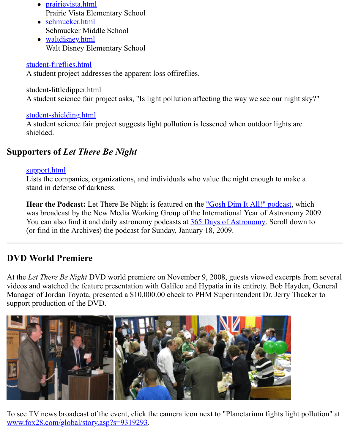stude[nt-fireflies.html](http://www.lettherebenight.com/prairievista.html)

A student project addresses the apparent loss offireflies.

stude[nt-littledipper.htm](http://www.lettherebenight.com/schmucker.html)l A stu[dent science fair](http://www.lettherebenight.com/waltdisney.html) project asks, "Is light pollution affecting the way we see our night

#### student-shielding.html

[A student science fair](http://www.lettherebenight.com/student-fireflies.html) project suggests light pollution is lessened when outdoor lights are shielded.

## **Supporters of** *Let There Be Night*

#### support.html

[Lists the companies, or](http://www.lettherebenight.com/student-shielding.html)ganizations, and individuals who value the night enough to make stand in defense of darkness.

Hear the Podcast: Let There Be Night is featured on the "Gosh Dim It All!" podcast, which was broadcast by the New Media Working Group of the International Year of Astronom You can also find it and daily astronomy podcasts at 365 Days of Astronomy. Scroll do [\(or find in the](http://www.lettherebenight.com/support-former.html) Archives) the podcast for Sunday, January 18, 2009.

## **DVD World Premiere**

At the *Let There Be Night* DVD world premiere on November 9, 2008, guests viewed excerpt videos and watched the feature presentation with Galileo a[nd Hypatia in its entirety.](http://365daysofastronomy.org/) Bob Hay Manager of Jordan Toyota, presented a \$10,000.00 check to PHM Superintendent Dr. Jerry T. support production of the DVD.



To see TV news broadcast of the event, click the camera icon next to "Planetarium fights light www.fox28.com/global/story.asp?s=9319293.